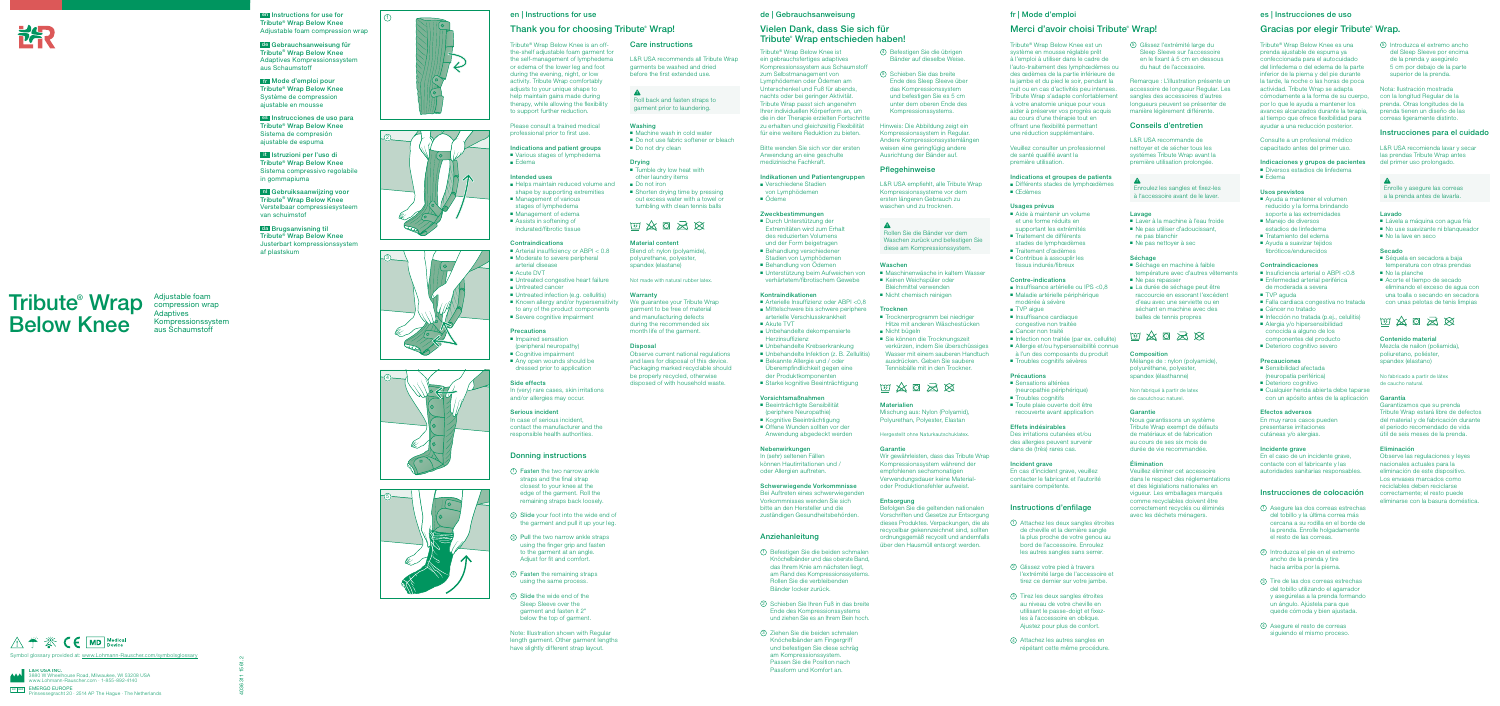4036311 1561.2



 $\wedge$   $\rightarrow$   $\mathbb{R}$  ( $\in$  MD  $_{\text{Device}}$ Symbol glossary provided at: www.Lohmann-Rauscher.com/symbolsglossary

 $E$ EMERGO EUROPE<br>Prinsessegracht 20 · 2514 AP The Hague · The Netherlands L&R USA INC. 3880 W Wheelhouse Road, Milwaukee, WI 53208 USA www.Lohmann-Rauscher.com · 1-855-892-4140

Tribute® Wrap Below Knee is an offthe-shelf adjustable foam garment for the self-management of lymphedema or edema of the lower leg and foot during the evening, night, or low activity. Tribute Wrap comfortably adjusts to your unique shape to help maintain gains made during therapy, while allowing the flexibility to support further reduction. Please consult a trained medical professional prior to first use. Indications and patient groups ■ Various stages of lymphedema

## en | Instructions for use

■ Helps maintain reduced volume and shape by supporting extremities

■ Arterial insufficiency or ABPI < 0.8 ■ Moderate to severe peripheral

■ Untreated congestive heart failure

■ Untreated infection (e.g. cellulitis) ■ Known allergy and/or hypersensitivity to any of the product components ■ Severe cognitive impairment

## Thank you for choosing Tribute<sup>®</sup> Wrap!

■ Management of various stages of lymphedema ■ Management of edema ■ Assists in softening of indurated/fibrotic tissue

**Contraindications** 

arterial disease ■ Acute DVT

■ Untreated cancer

**Precautions** ■ Impaired sensation (peripheral neuropathy) ■ Cognitive impairment ■ Any open wounds should be dressed prior to application

■ Edema

Intended uses

- Tumble dry low heat with other laundry items ■ Do not iron
- Shorten drying time by pressing out excess water with a towel or tumbling with clean tennis balls

# $\text{W} \mathbin{\hat{\otimes}} \mathbf{G} \mathbin{\hat{\otimes}} \mathbf{G}$

Side effects

We guarantee your Tribute Wrap garment to be free of material and manufacturing defects during the recommended six month life of the garment.

## **Disposal**

In (very) rare cases, skin irritations and/or allergies may occur. Serious incident

In case of serious incident, contact the manufacturer and the responsible health authorities.

## Donning instructions

- 1 Fasten the two narrow ankle straps and the final strap closest to your knee at the edge of the garment. Roll the remaining straps back loosely.
- 2 Slide your foot into the wide end of the garment and pull it up your leg.
- 3 Pull the two narrow ankle straps using the finger grip and fasten to the garment at an angle. Adjust for fit and comfort.
- 4 Fasten the remaining straps using the same process.
- 5 Slide the wide end of the Sleep Sleeve over the garment and fasten it 2" below the top of garment.
- Verschiedene Stadien von Lymphödemen
- Ödeme

Note: Illustration shown with Regular length garment. Other garment lengths have slightly different strap layout.

- Arterielle Insuffizienz oder ABPI <0.8 ■ Mittelschwere bis schwere periphere
- arterielle Verschlusskrankheit ■ Akute TVT
- Unbehandelte dekompensierte Herzinsuffizienz
- Unbehandelte Krebserkrankung
- Unbehandelte Infektion (z. B. Zellulitis) ■ Bekannte Allergie und / oder Überempfindlichkeit gegen eine der Produktkomponenten
- Starke kognitive Beeinträchtigung

Care instructions

- Beeinträchtigte Sensibilität (periphere Neuropathie)
- Kognitive Beeinträchtigung ■ Offene Wunden sollten vor der
- Anwendung abgedeckt werden

L&R USA recommends all Tribute Wrap garments be washed and dried before the first extended use.

Roll back and fasten straps to garment prior to laundering.

## Washing

- Machine wash in cold water
- Do not use fabric softener or bleach ■ Do not dry clean

## Drying

## Material content

Blend of: nylon (polyamide), polyurethane, polyester, spandex (elastane)

Not made with natural rubber latex.

## **Warranty**

Observe current national regulations and laws for disposal of this device. Packaging marked recyclable should be properly recycled, otherwise disposed of with household waste.

## de | Gebrauchsanweisung

## Vielen Dank, dass Sie sich für Tribute® Wrap entschieden haben!

Tribute® Wrap Below Knee ist ein gebrauchsfertiges adaptives Kompressionssystem aus Schaumstoff zum Selbstmanagement von Lymphödemen oder Ödemen am Unterschenkel und Fuß für abends, nachts oder bei geringer Aktivität. Tribute Wrap passt sich angenehm Ihrer individuellen Körperform an, um die in der Therapie erzielten Fortschritte zu erhalten und gleichzeitig Flexibilität für eine weitere Reduktion zu bieten.

Bitte wenden Sie sich vor der ersten Anwendung an eine geschulte medizinische Fachkraft.

## Indikationen und Patientengruppen

## Zweckbestimmungen

- Durch Unterstützung der Extremitäten wird zum Erhalt des reduzierten Volumens und der Form beigetragen
- Behandlung verschiedener Stadien von Lymphödemen
- Behandlung von Ödemen
- Unterstützung beim Aufweichen von verhärtetem/fibrotischem Gewebe

#### Kontraindikationen

- Sensations altérées
- (neuropathie périphérique) ■ Troubles cognitifs
- Toute plaie ouverte doit être
- recouverte avant application

En cas d'incident grave, veuillez contacter le fabricant et l'autorité sanitaire compétente.

## Vorsichtsmaßnahmen

#### Nebenwirkungen

In (sehr) seltenen Fällen können Hautirritationen und / oder Allergien auftreten.

■ Laver à la machine à l'eau froide ■ Ne pas utiliser d'adoucissant,

ne pas blanchir ■ Ne pas nettoyer à sec

## Schwerwiegende Vorkommnisse Bei Auftreten eines schwerwiegenden

température avec d'autres vêtements ■ Ne pas repasser

Vorkommnisses wenden Sie sich bitte an den Hersteller und die zuständigen Gesundheitsbehörden.

## Anziehanleitung

■ La durée de séchage peut être raccourcie en essorant l'excédent d'eau avec une serviette ou en séchant en machine avec des balles de tennis propres

- 1 Befestigen Sie die beiden schmalen Knöchelbänder und das oberste Band, das Ihrem Knie am nächsten liegt, am Rand des Kompressionssystems. Rollen Sie die verbleibenden Bänder locker zurück.
- 2 Schieben Sie Ihren Fuß in das breite Ende des Kompressionssystems und ziehen Sie es an Ihrem Bein hoch.
- 3 Ziehen Sie die beiden schmalen Knöchelbänder am Fingergriff und befestigen Sie diese schräg am Kompressionssystem. Passen Sie die Position nach Passform und Komfort an.

4 Befestigen Sie die übrigen Bänder auf dieselbe Weise.

5 Schieben Sie das breite Ende des Sleep Sleeve über das Kompressionssystem und befestigen Sie es 5 cm unter dem oberen Ende des Kompressionssystems.

> ■ Insuficiencia arterial o ABPI <0.8 ■ Enfermedad arterial periférica de moderada a severa

■ Falla cardiaca congestiva no tratada

■ Infección no tratada (p.ej., celulitis) ■ Alergia y/o hipersensibilidad conocida a alguno de los componentes del producto ■ Deterioro cognitivo severo

Hinweis: Die Abbildung zeigt ein Kompressionssystem in Regular. Andere Kompressionssystemlängen weisen eine geringfügig andere Ausrichtung der Bänder auf.

## Pflegehinweise

L&R USA empfiehlt, alle Tribute Wrap Kompressionssysteme vor dem ersten längeren Gebrauch zu waschen und zu trocknen.

## $\blacktriangle$

■ Cualquier herida abierta debe taparse con un apósito antes de la aplicación

Rollen Sie die Bänder vor dem Waschen zurück und befestigen Sie diese am Kompressionssystem.

## Waschen

- Maschinenwäsche in kaltem Wasser ■ Keinen Weichspüler oder
- Bleichmittel verwenden ■ Nicht chemisch reinigen

## **Trocknen**

- Trocknerprogramm bei niedriger Hitze mit anderen Wäschestücken ■ Nicht bügeln
- Sie können die Trocknungszeit verkürzen, indem Sie überschüssiges
- Wasser mit einem sauberen Handtuch ausdrücken. Geben Sie saubere Tennisbälle mit in den Trockner.

# $\text{W} \mathbin{\hat{\otimes}} \mathbf{G} \mathbin{\hat{\otimes}} \mathbf{G}$

## Materialien

Mischung aus: Nylon (Polyamid), Polyurethan, Polyester, Elastan

Hergestellt ohne Naturkautschuklatex.

## Garantie

Wir gewährleisten, dass das Tribute Wrap Kompressionssystem während der empfohlenen sechsmonatigen Verwendungsdauer keine Materialoder Produktionsfehler aufweist.

## Entsorgung

Befolgen Sie die geltenden nationalen Vorschriften und Gesetze zur Entsorgung dieses Produktes. Verpackungen, die als recycelbar gekennzeichnet sind, sollten ordnungsgemäß recycelt und andernfalls über den Hausmüll entsorgt werden.

## fr | Mode d'emploi

## Merci d'avoir choisi Tribute<sup>®</sup> Wrap!

Tribute® Wrap Below Knee est un système en mousse réglable prêt à l'emploi à utiliser dans le cadre de l'auto-traitement des lymphœdèmes ou des œdèmes de la partie inférieure de la jambe et du pied le soir, pendant la nuit ou en cas d'activités peu intenses. Tribute Wrap s'adapte confortablement à votre anatomie unique pour vous aider à préserver vos progrès acquis au cours d'une thérapie tout en offrant une flexibilité permettant une réduction supplémentaire.

Veuillez consulter un professionnel de santé qualifié avant la première utilisation.

#### Indications et groupes de patients ■ Différents stades de lymphœdèmes ■ Œdèmes

## Usages prévus

- Aide à maintenir un volume et une forme réduits en
- supportant les extrémités
- Traitement de différents stades de lymphœdèmes
- Traitement d'œdèmes
- Contribue à assouplir les tissus indurés/fibreux
- Contre-indications
- Insuffisance artérielle ou IPS <0,8 ■ Maladie artérielle périphérique modérée à sévère
- TVP aigue
- Insuffisance cardiaque congestive non traitée
- Cancer non traité
- Infection non traitée (par ex. cellulite)
- Allergie et/ou hypersensibilité connue
- à l'un des composants du produit
- Troubles cognitifs sévères

## Précautions

#### Effets indésirables

Des irritations cutanées et/ou des allergies peuvent survenir dans de (très) rares cas.

#### Incident grave

## Instructions d'enfilage

- 1 Attachez les deux sangles étroites de cheville et la dernière sangle la plus proche de votre genou au bord de l'accessoire. Enroulez les autres sangles sans serrer.
- 2 Glissez votre pied à travers l'extrémité large de l'accessoire et tirez ce dernier sur votre jambe.
- 3 Tirez les deux sangles étroites au niveau de votre cheville en utilisant le passe-doigt et fixezles à l'accessoire en oblique. Ajustez pour plus de confort.
- 4 Attachez les autres sangles en répétant cette même procédure.

5 Glissez l'extrémité large du Sleep Sleeve sur l'accessoire en le fixant à 5 cm en dessous du haut de l'accessoire.

Remarque : L'illustration présente un accessoire de longueur Regular. Les sangles des accessoires d'autres longueurs peuvent se présenter de manière légèrement différente. Conseils d'entretien L&R USA recommande de nettoyer et de sécher tous les systémes Tribute Wrap avant la première utilisation prolongée.

Enroulez les sangles et fixez-les à l'accessoire avant de le laver.

Lavage

Séchage

■ Séchage en machine à faible

Composition

Mélange de : nylon (polyamide), polyuréthane, polyester, spandex (élasthanne) Non fabriqué à partir de latex de caoutchouc naturel.

图文日为及

Garantie

Nous garantissons un système Tribute Wrap exempt de défauts de matériaux et de fabrication au cours de ses six mois de durée de vie recommandée.

Élimination

Veuillez éliminer cet accessoire dans le respect des réglementations et des législations nationales en vigueur. Les emballages marqués comme recyclables doivent être correctement recyclés ou éliminés avec les déchets ménagers.

## es | Instrucciones de uso

## Gracias por elegir Tribute<sup>®</sup> Wrap.

Tribute® Wrap Below Knee es una prenda ajustable de espuma ya confeccionada para el autocuidado del linfedema o del edema de la parte inferior de la pierna y del pie durante la tarde, la noche o las horas de poca actividad. Tribute Wrap se adapta cómodamente a la forma de su cuerpo, por lo que le ayuda a mantener los

avances alcanzados durante la terapia,

al tiempo que ofrece flexibilidad para ayudar a una reducción posterior. Consulte a un profesional médico

capacitado antes del primer uso.

Indicaciones y grupos de pacientes ■ Diversos estadios de linfedema ■ Edema

## Usos previstos

- Ayuda a mantener el volumen reducido y la forma brindando soporte a las extremidades
- Manejo de diversos estadios de linfedema
- Tratamiento del edema
- Ayuda a suavizar tejidos fibróticos/endurecidos

#### Contraindicaciones

■ TVP aguda

**Precauciones** ■ Sensibilidad afectada (neuropatía periférica) ■ Deterioro cognitivo

Efectos adversos En muy raros casos pueden presentarse irritaciones cutáneas y/o alergias. Incidente grave

■ Cáncer no tratado

En el caso de un incidente grave, contacte con el fabricante y las autoridades sanitarias responsables.

Instrucciones de colocación 1 Asegure las dos correas estrechas del tobillo y la última correa más cercana a su rodilla en el borde de la prenda. Enrolle holgadamente el resto de las correas.

2 Introduzca el pie en el extremo ancho de la prenda y tire hacia arriba por la pierna. 3 Tire de las dos correas estrechas del tobillo utilizando el agarrador v asegúrelas a la prenda formando un ángulo. Ajústela para que quede cómoda y bien ajustada.

4 Asegure el resto de correas siguiendo el mismo proceso.

5 Introduzca el extremo ancho del Sleep Sleeve por encima de la prenda y asegúrelo 5 cm por debajo de la parte superior de la prenda. Nota: Ilustración mostrada con la longitud Regular de la prenda. Otras longitudes de la prenda tienen un diseño de las correas ligeramente distinto.

las prendas Tribute Wrap antes del primer uso prolongado.

Enrolle y asegure las correas a la prenda antes de lavarla.

Lavado

Secado

■ No la lave en seco

■ No la planche

■ Séquela en secadora a baja temperatura con otras prendas

■ Acorte el tiempo de secado

 $\text{W} \mathbin{\hat{\otimes}} \mathbf{G} \mathbin{\hat{\otimes}} \mathbf{G}$ 

Instrucciones para el cuidado L&R USA recomienda lavar y secar ■ Lávela a máquina con agua fría ■ No use suavizante ni blanqueador eliminando el exceso de agua con una toalla o secando en secadora con unas pelotas de tenis limpias Tribute Wrap estará libre de defectos del material y de fabricación durante

Contenido material Mezcla de nailon (poliamida) poliuretano, poliéster, spandex (elastano)

No fabricado a partir de látex de caucho natural.

Garantía

Garantizamos que su prenda

el periodo recomendado de vida útil de seis meses de la prenda.

Eliminación

Observe las regulaciones y leyes nacionales actuales para la eliminación de este dispositivo. Los envases marcados como reciclables deben reciclarse correctamente; el resto puede eliminarse con la basura doméstica.



Tribute® Wrap Below Knee

Adjustable foam compression wrap Adaptives Kompressionssystem aus Schaumstoff

**1 en Instructions for use for**  $(1)$ Tribute® Wrap Below Knee Adjustable foam compression wrap









de Gebrauchsanweisung für Tribute® Wrap Below Knee Adaptives Kompressionssystem aus Schaumstoff

fr Mode d'emploi pour Tribute® Wrap Below Knee Système de compression ajustable en mousse

es Instrucciones de uso para Tribute® Wrap Below Knee Sistema de compresión ajustable de espuma

it Istruzioni per l'uso di Tribute® Wrap Below Knee Sistema compressivo regolabile in gommapiuma

nl Gebruiksaanwijzing voor Tribute® Wrap Below Knee Verstelbaar compressiesysteem van schuimstof

da Brugsanvisning til Tribute® Wrap Below Knee Justerbart kompressionssystem af plastskum